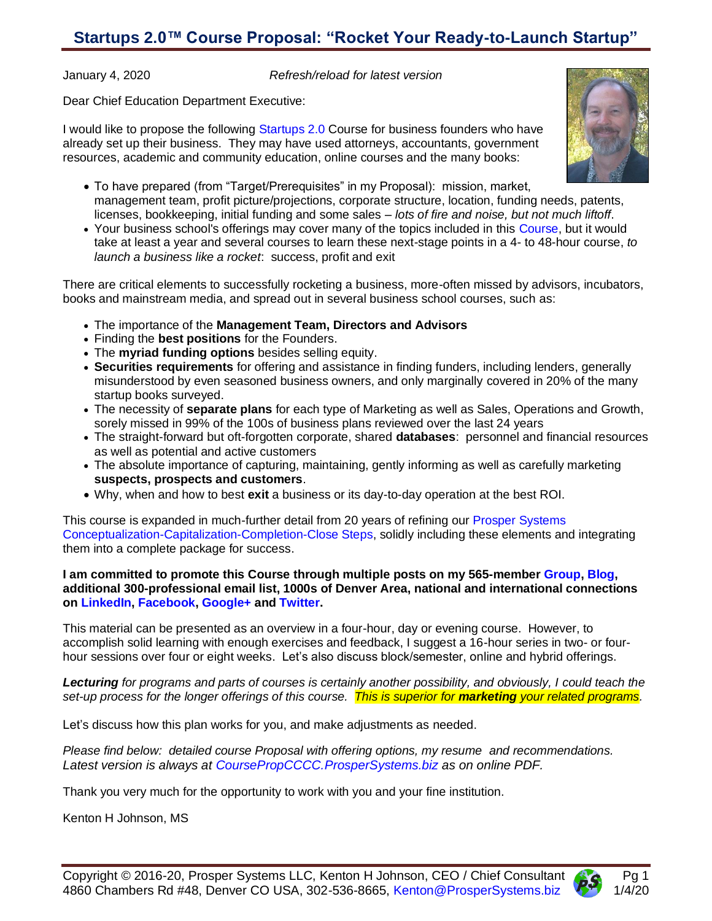## **Startups 2.0™ Course Proposal: "Rocket Your Ready-to-Launch Startup"**

January 4, 2020 *Refresh/reload for latest version*

Dear Chief Education Department Executive:

I would like to propose the following [Startups](http://ccccsteps.prospersystems.biz/) 2.0 Course for business founders who have already set up their business. They may have used attorneys, accountants, government resources, academic and community education, online courses and the many books:



- To have prepared (from "Target/Prerequisites" in my Proposal): mission, market, management team, profit picture/projections, corporate structure, location, funding needs, patents, licenses, bookkeeping, initial funding and some sales – *lots of fire and noise, but not much liftoff*.
- Your business school's offerings may cover many of the topics included in this [Course,](http://coursepropcccc.prospersystems.biz/) but it would take at least a year and several courses to learn these next-stage points in a 4- to 48-hour course, *to launch a business like a rocket*: success, profit and exit

There are critical elements to successfully rocketing a business, more-often missed by advisors, incubators, books and mainstream media, and spread out in several business school courses, such as:

- The importance of the **Management Team, Directors and Advisors**
- Finding the **best positions** for the Founders.
- The **myriad funding options** besides selling equity.
- **Securities requirements** for offering and assistance in finding funders, including lenders, generally misunderstood by even seasoned business owners, and only marginally covered in 20% of the many startup books surveyed.
- The necessity of **separate plans** for each type of Marketing as well as Sales, Operations and Growth, sorely missed in 99% of the 100s of business plans reviewed over the last 24 years
- The straight-forward but oft-forgotten corporate, shared **databases**: personnel and financial resources as well as potential and active customers
- The absolute importance of capturing, maintaining, gently informing as well as carefully marketing **suspects, prospects and customers**.
- Why, when and how to best **exit** a business or its day-to-day operation at the best ROI.

This course is expanded in much-further detail from 20 years of refining [our Prosper](http://ccccsteps.prospersystems.biz/) Systems [Conceptualization-Capitalization-Completion-Close](http://ccccsteps.prospersystems.biz/) Steps, solidly including these elements and integrating them into a complete package for success.

**I am committed to promote this Course through multiple posts on my 565-membe[r Group,](http://group.prospersystems.biz/) [Blog,](http://blog.prospersystems.biz/) additional 300-professional email list, 1000s of Denver Area, national and international connections on [LinkedIn,](http://linkedin.kentonhjohnson.com/) [Facebook,](http://facebook.kentonhjohnson.com/) [Google+](http://google.kentonhjohnson.com/) and [Twitter.](http://twitter.kentonhjohnson.com/)**

This material can be presented as an overview in a four-hour, day or evening course. However, to accomplish solid learning with enough exercises and feedback, I suggest a 16-hour series in two- or fourhour sessions over four or eight weeks. Let's also discuss block/semester, online and hybrid offerings.

*Lecturing for programs and parts of courses is certainly another possibility, and obviously, I could teach the set-up process for the longer offerings of this course. This is superior for marketing your related programs.*

Let's discuss how this plan works for you, and make adjustments as needed.

*Please find below: detailed course Proposal with offering options, my resume and recommendations. Latest version is always at [CoursePropCCCC.ProsperSystems.biz](http://coursepropcccc.prospersystems.biz/) as on online PDF.*

Thank you very much for the opportunity to work with you and your fine institution.

Kenton H Johnson, MS

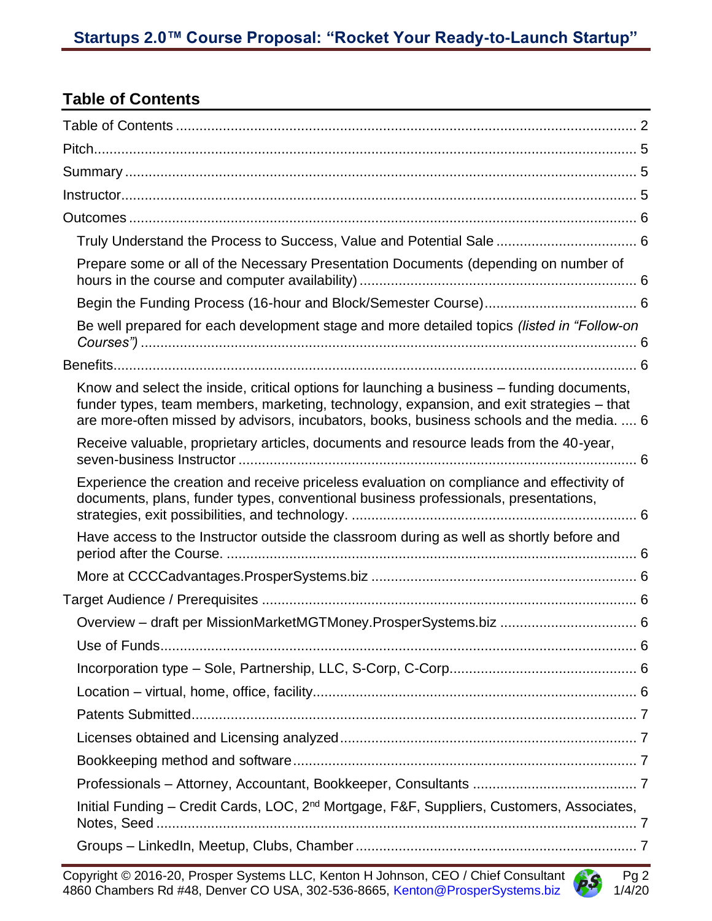## <span id="page-1-0"></span>**Table of Contents**

| Prepare some or all of the Necessary Presentation Documents (depending on number of                                                                                                                                                                                                |  |
|------------------------------------------------------------------------------------------------------------------------------------------------------------------------------------------------------------------------------------------------------------------------------------|--|
|                                                                                                                                                                                                                                                                                    |  |
| Be well prepared for each development stage and more detailed topics (listed in "Follow-on                                                                                                                                                                                         |  |
|                                                                                                                                                                                                                                                                                    |  |
| Know and select the inside, critical options for launching a business - funding documents,<br>funder types, team members, marketing, technology, expansion, and exit strategies - that<br>are more-often missed by advisors, incubators, books, business schools and the media.  6 |  |
| Receive valuable, proprietary articles, documents and resource leads from the 40-year,                                                                                                                                                                                             |  |
| Experience the creation and receive priceless evaluation on compliance and effectivity of<br>documents, plans, funder types, conventional business professionals, presentations,                                                                                                   |  |
| Have access to the Instructor outside the classroom during as well as shortly before and                                                                                                                                                                                           |  |
|                                                                                                                                                                                                                                                                                    |  |
|                                                                                                                                                                                                                                                                                    |  |
|                                                                                                                                                                                                                                                                                    |  |
|                                                                                                                                                                                                                                                                                    |  |
|                                                                                                                                                                                                                                                                                    |  |
|                                                                                                                                                                                                                                                                                    |  |
|                                                                                                                                                                                                                                                                                    |  |
|                                                                                                                                                                                                                                                                                    |  |
|                                                                                                                                                                                                                                                                                    |  |
|                                                                                                                                                                                                                                                                                    |  |
| Initial Funding - Credit Cards, LOC, 2 <sup>nd</sup> Mortgage, F&F, Suppliers, Customers, Associates,<br>Notes, Seed                                                                                                                                                               |  |
|                                                                                                                                                                                                                                                                                    |  |

Copyright © 2016-20, Prosper Systems LLC, Kenton H Johnson, CEO / Chief Consultant Pag Pg 2 4860 Chambers Rd #48, Denver CO USA, 302-536-8665, [Kenton@ProsperSystems.biz](mailto:Kenton@ProsperSystems.biz) 4577 1/4/20

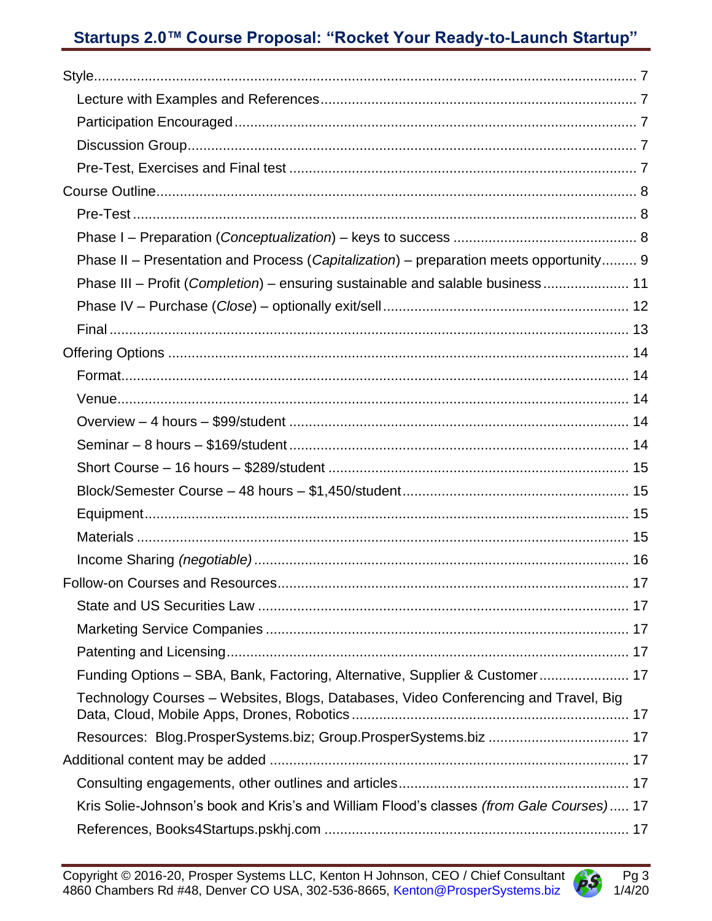# Startups 2.0™ Course Proposal: "Rocket Your Ready-to-Launch Startup"

| Phase II - Presentation and Process (Capitalization) - preparation meets opportunity 9  |  |
|-----------------------------------------------------------------------------------------|--|
| Phase III - Profit (Completion) - ensuring sustainable and salable business 11          |  |
|                                                                                         |  |
|                                                                                         |  |
|                                                                                         |  |
|                                                                                         |  |
|                                                                                         |  |
|                                                                                         |  |
|                                                                                         |  |
|                                                                                         |  |
|                                                                                         |  |
|                                                                                         |  |
|                                                                                         |  |
|                                                                                         |  |
|                                                                                         |  |
|                                                                                         |  |
|                                                                                         |  |
|                                                                                         |  |
| Funding Options - SBA, Bank, Factoring, Alternative, Supplier & Customer 17             |  |
| Technology Courses - Websites, Blogs, Databases, Video Conferencing and Travel, Big     |  |
|                                                                                         |  |
|                                                                                         |  |
|                                                                                         |  |
| Kris Solie-Johnson's book and Kris's and William Flood's classes (from Gale Courses) 17 |  |
|                                                                                         |  |

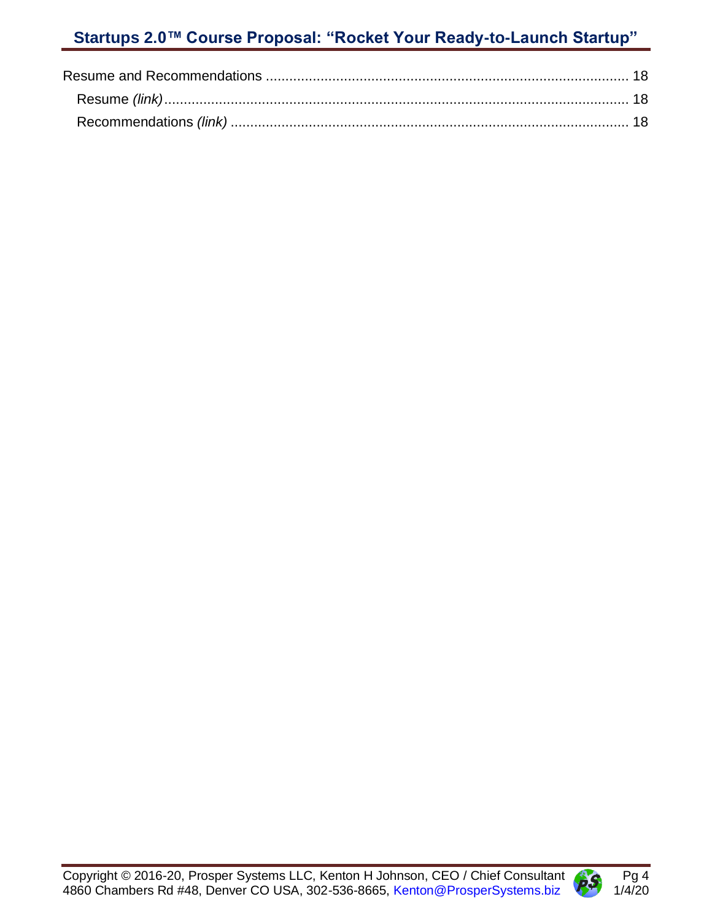

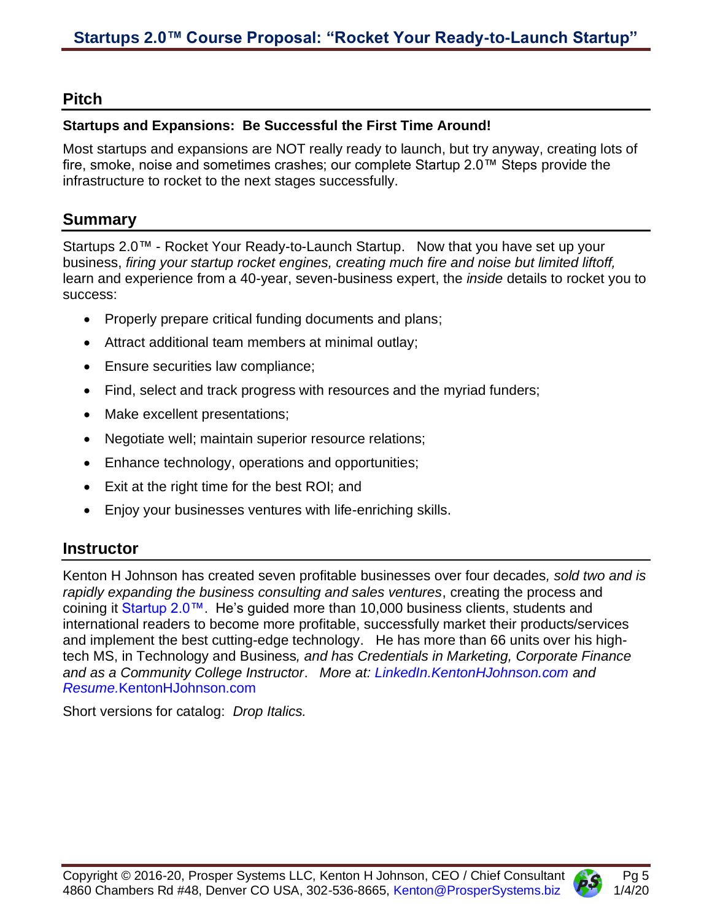#### <span id="page-4-0"></span>**Pitch**

#### **Startups and Expansions: Be Successful the First Time Around!**

Most startups and expansions are NOT really ready to launch, but try anyway, creating lots of fire, smoke, noise and sometimes crashes; our complete Startup 2.0™ Steps provide the infrastructure to rocket to the next stages successfully.

#### <span id="page-4-1"></span>**Summary**

Startups 2.0™ - Rocket Your Ready-to-Launch Startup. Now that you have set up your business, *firing your startup rocket engines, creating much fire and noise but limited liftoff,* learn and experience from a 40-year, seven-business expert, the *inside* details to rocket you to success:

- Properly prepare critical funding documents and plans;
- Attract additional team members at minimal outlay;
- Ensure securities law compliance;
- Find, select and track progress with resources and the myriad funders;
- Make excellent presentations;
- Negotiate well; maintain superior resource relations;
- Enhance technology, operations and opportunities;
- Exit at the right time for the best ROI; and
- Enjoy your businesses ventures with life-enriching skills.

#### <span id="page-4-2"></span>**Instructor**

Kenton H Johnson has created seven profitable businesses over four decades*, sold two and is rapidly expanding the business consulting and sales ventures*, creating the process and coining it [Startup 2.0™.](http://ccccsteps.prospersystems.biz/) He's guided more than 10,000 business clients, students and international readers to become more profitable, successfully market their products/services and implement the best cutting-edge technology. He has more than 66 units over his hightech MS, in Technology and Business*, and has Credentials in Marketing, Corporate Finance and as a Community College Instructor*. *More at: [LinkedIn.KentonHJohnson.com](http://linkedin.kentonhjohnson.com/) and Resume.*[KentonHJohnson.com](http://resume.kentonhjohnson.com/)

Short versions for catalog: *Drop Italics.*

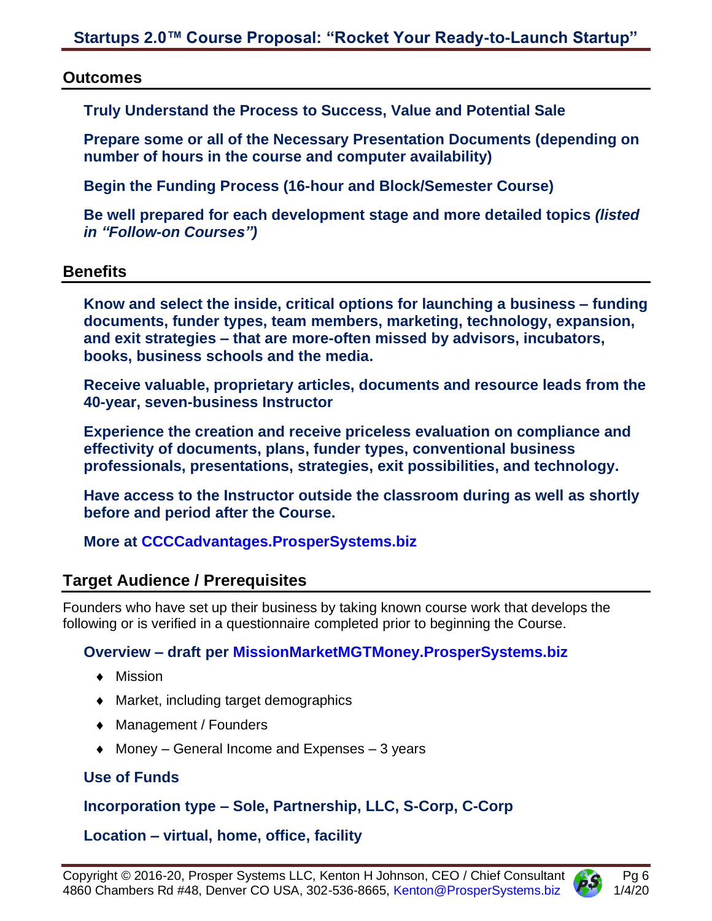#### <span id="page-5-1"></span><span id="page-5-0"></span>**Outcomes**

**Truly Understand the Process to Success, Value and Potential Sale**

<span id="page-5-2"></span>**Prepare some or all of the Necessary Presentation Documents (depending on number of hours in the course and computer availability)**

<span id="page-5-3"></span>**Begin the Funding Process (16-hour and Block/Semester Course)**

<span id="page-5-4"></span>**Be well prepared for each development stage and more detailed topics** *(listed in "Follow-on Courses")*

#### <span id="page-5-6"></span><span id="page-5-5"></span>**Benefits**

**Know and select the inside, critical options for launching a business – funding documents, funder types, team members, marketing, technology, expansion, and exit strategies – that are more-often missed by advisors, incubators, books, business schools and the media.**

<span id="page-5-7"></span>**Receive valuable, proprietary articles, documents and resource leads from the 40-year, seven-business Instructor**

<span id="page-5-8"></span>**Experience the creation and receive priceless evaluation on compliance and effectivity of documents, plans, funder types, conventional business professionals, presentations, strategies, exit possibilities, and technology.**

<span id="page-5-9"></span>**Have access to the Instructor outside the classroom during as well as shortly before and period after the Course.**

## <span id="page-5-10"></span>**More at [CCCCadvantages.ProsperSystems.biz](http://ccccadvantages.prospersystems.biz/)**

## <span id="page-5-11"></span>**Target Audience / Prerequisites**

Founders who have set up their business by taking known course work that develops the following or is verified in a questionnaire completed prior to beginning the Course.

## <span id="page-5-12"></span>**Overview – draft per [MissionMarketMGTMoney.ProsperSystems.biz](http://missionmarketmgtmoney.prospersystems.biz/)**

- ◆ Mission
- Market, including target demographics
- ◆ Management / Founders
- $\triangleleft$  Money General Income and Expenses 3 years

## <span id="page-5-13"></span>**Use of Funds**

## <span id="page-5-14"></span>**Incorporation type – Sole, Partnership, LLC, S-Corp, C-Corp**

## <span id="page-5-15"></span>**Location – virtual, home, office, facility**

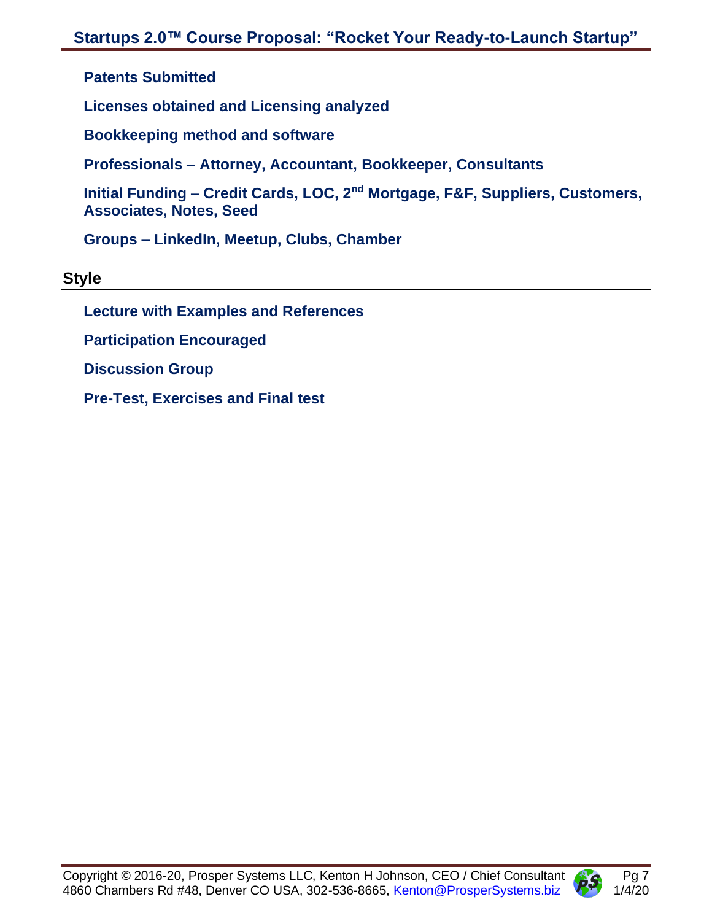<span id="page-6-0"></span>**Patents Submitted**

<span id="page-6-1"></span>**Licenses obtained and Licensing analyzed**

<span id="page-6-2"></span>**Bookkeeping method and software**

<span id="page-6-3"></span>**Professionals – Attorney, Accountant, Bookkeeper, Consultants**

<span id="page-6-4"></span>**Initial Funding – Credit Cards, LOC, 2nd Mortgage, F&F, Suppliers, Customers, Associates, Notes, Seed**

<span id="page-6-5"></span>**Groups – LinkedIn, Meetup, Clubs, Chamber**

<span id="page-6-7"></span><span id="page-6-6"></span>**Style**

**Lecture with Examples and References**

<span id="page-6-8"></span>**Participation Encouraged**

<span id="page-6-9"></span>**Discussion Group**

<span id="page-6-10"></span>**Pre-Test, Exercises and Final test**

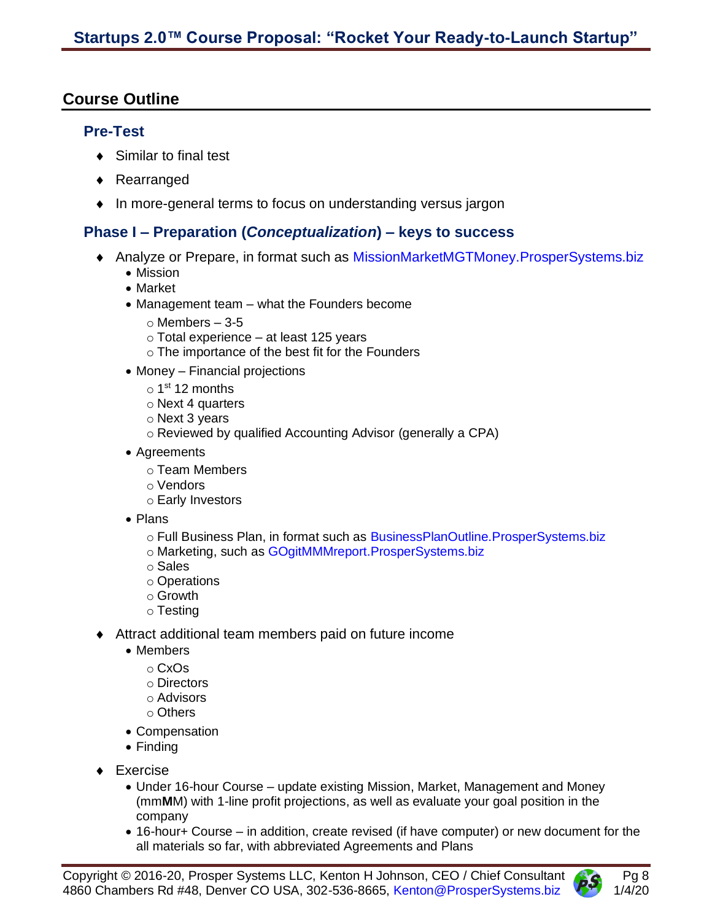## <span id="page-7-1"></span><span id="page-7-0"></span>**Course Outline**

#### **Pre-Test**

- ◆ Similar to final test
- ◆ Rearranged
- In more-general terms to focus on understanding versus jargon

#### <span id="page-7-2"></span>**Phase I – Preparation (***Conceptualization***) – keys to success**

- Analyze or Prepare, in format such as [MissionMarketMGTMoney.ProsperSystems.biz](http://missionmarketmgtmoney.prospersystems.biz/)
	- Mission
	- Market
	- Management team what the Founders become
		- $\circ$  Members  $-3-5$
		- o Total experience at least 125 years
		- o The importance of the best fit for the Founders
	- Money Financial projections
		- 1<sup>st</sup> 12 months
		- o Next 4 quarters
		- o Next 3 years
		- o Reviewed by qualified Accounting Advisor (generally a CPA)
	- Agreements
		- o Team Members
		- o Vendors
		- o Early Investors
	- Plans
		- o Full Business Plan, in format such as BusinessPlanOutline. ProsperSystems.biz o Marketing, such as [GOgitMMMreport.ProsperSystems.biz](http://gogitmmmreport.prospersystems.biz/)
		- o Sales
		- o Operations
		- o Growth
		- o Testing
- Attract additional team members paid on future income
	- Members
		- o CxOs
		- o Directors
		- o Advisors
		- o Others
	- Compensation
	- Finding
- ◆ Exercise
	- Under 16-hour Course update existing Mission, Market, Management and Money (mm**M**M) with 1-line profit projections, as well as evaluate your goal position in the company
	- 16-hour+ Course in addition, create revised (if have computer) or new document for the all materials so far, with abbreviated Agreements and Plans

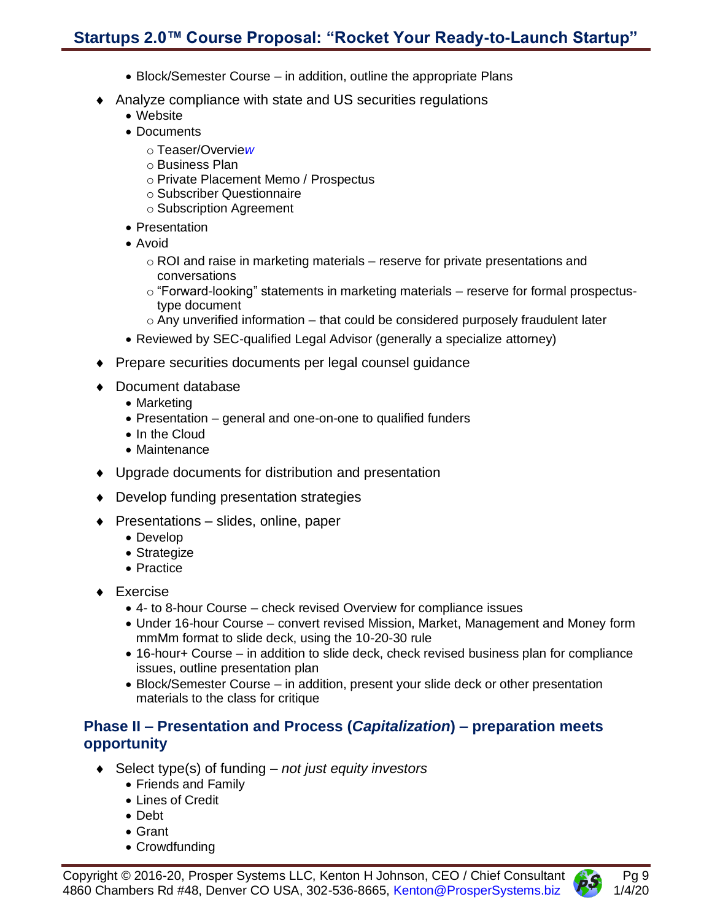## **Startups 2.0™ Course Proposal: "Rocket Your Ready-to-Launch Startup"**

- Block/Semester Course in addition, outline the appropriate Plans
- Analyze compliance with state and US securities regulations
	- Website
	- Documents
		- o Teaser/Overvie*w*
		- o Business Plan
		- o Private Placement Memo / Prospectus
		- o Subscriber Questionnaire
		- o Subscription Agreement
	- Presentation
	- Avoid
		- o ROI and raise in marketing materials reserve for private presentations and conversations
		- $\circ$  "Forward-looking" statements in marketing materials reserve for formal prospectustype document
		- $\circ$  Any unverified information that could be considered purposely fraudulent later
	- Reviewed by SEC-qualified Legal Advisor (generally a specialize attorney)
- ◆ Prepare securities documents per legal counsel guidance
- ◆ Document database
	- Marketing
	- Presentation general and one-on-one to qualified funders
	- In the Cloud
	- Maintenance
- Upgrade documents for distribution and presentation
- ◆ Develop funding presentation strategies
- Presentations slides, online, paper
	- Develop
	- Strategize
	- Practice
- ◆ Exercise
	- 4- to 8-hour Course check revised Overview for compliance issues
	- Under 16-hour Course convert revised Mission, Market, Management and Money form mmMm format to slide deck, using the 10-20-30 rule
	- 16-hour+ Course in addition to slide deck, check revised business plan for compliance issues, outline presentation plan
	- Block/Semester Course in addition, present your slide deck or other presentation materials to the class for critique

## <span id="page-8-0"></span>**Phase II – Presentation and Process (***Capitalization***) – preparation meets opportunity**

- Select type(s) of funding *not just equity investors*
	- Friends and Family
	- Lines of Credit
	- Debt
	- Grant
	- Crowdfunding

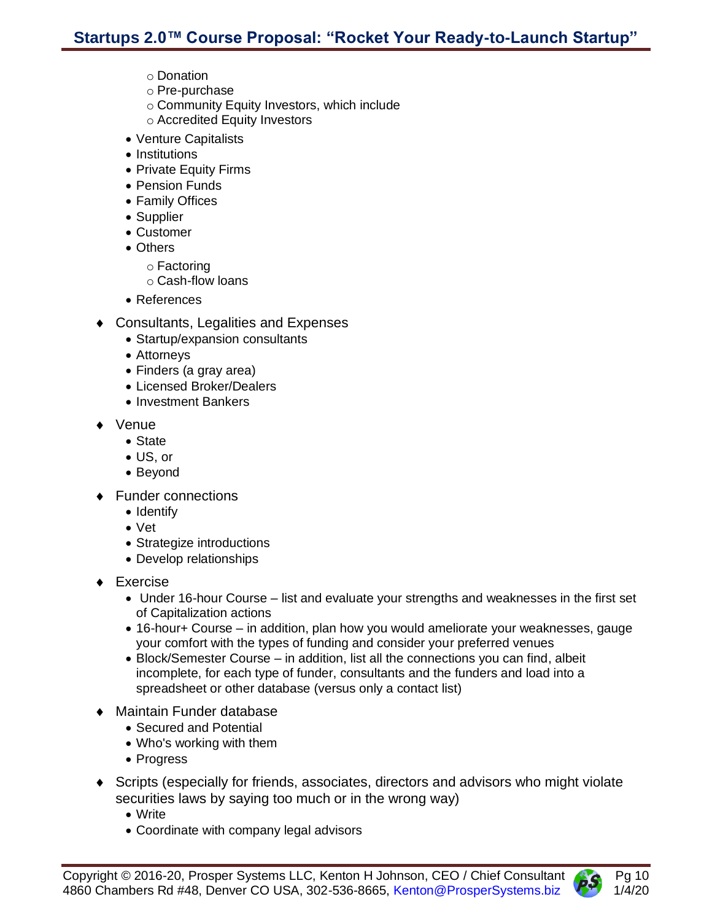- o Donation
- o Pre-purchase
- o Community Equity Investors, which include
- o Accredited Equity Investors
- Venture Capitalists
- Institutions
- Private Equity Firms
- Pension Funds
- Family Offices
- Supplier
- Customer
- Others
	- o Factoring
		- o Cash-flow loans
- References
- ◆ Consultants, Legalities and Expenses
	- Startup/expansion consultants
	- Attorneys
	- Finders (a gray area)
	- Licensed Broker/Dealers
	- Investment Bankers
- ◆ Venue
	- State
	- US, or
	- Beyond
- ◆ Funder connections
	- Identify
	- Vet
	- Strategize introductions
	- Develop relationships
- Exercise
	- Under 16-hour Course list and evaluate your strengths and weaknesses in the first set of Capitalization actions
	- 16-hour+ Course in addition, plan how you would ameliorate your weaknesses, gauge your comfort with the types of funding and consider your preferred venues
	- Block/Semester Course in addition, list all the connections you can find, albeit incomplete, for each type of funder, consultants and the funders and load into a spreadsheet or other database (versus only a contact list)
- Maintain Funder database
	- Secured and Potential
	- Who's working with them
	- Progress
- Scripts (especially for friends, associates, directors and advisors who might violate securities laws by saying too much or in the wrong way)
	- Write
	- Coordinate with company legal advisors

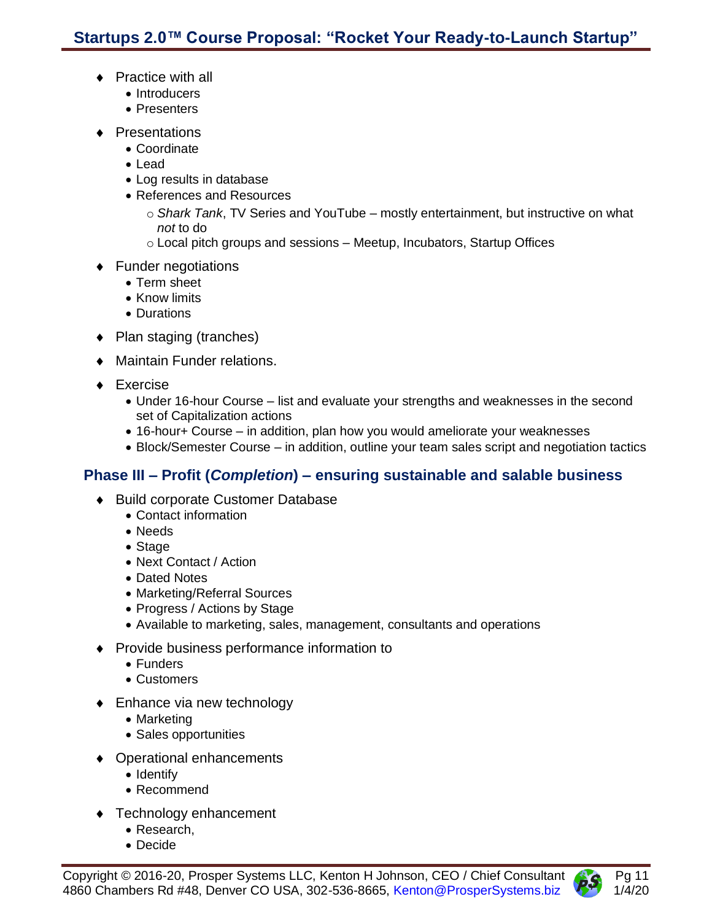- ◆ Practice with all
	- Introducers
	- Presenters
- Presentations
	- Coordinate
	- Lead
	- Log results in database
	- References and Resources
		- o *Shark Tank*, TV Series and YouTube mostly entertainment, but instructive on what *not* to do
		- $\circ$  Local pitch groups and sessions Meetup, Incubators, Startup Offices
- ◆ Funder negotiations
	- Term sheet
	- Know limits
	- Durations
- ◆ Plan staging (tranches)
- Maintain Funder relations.
- ◆ Exercise
	- Under 16-hour Course list and evaluate your strengths and weaknesses in the second set of Capitalization actions
	- 16-hour+ Course in addition, plan how you would ameliorate your weaknesses
	- Block/Semester Course in addition, outline your team sales script and negotiation tactics

## <span id="page-10-0"></span>**Phase III – Profit (***Completion***) – ensuring sustainable and salable business**

- ◆ Build corporate Customer Database
	- Contact information
	- Needs
	- Stage
	- Next Contact / Action
	- Dated Notes
	- Marketing/Referral Sources
	- Progress / Actions by Stage
	- Available to marketing, sales, management, consultants and operations
- ◆ Provide business performance information to
	- Funders
	- Customers
- ◆ Enhance via new technology
	- Marketing
	- Sales opportunities
- Operational enhancements
	- Identify
	- Recommend
- ◆ Technology enhancement
	- Research,
	- Decide



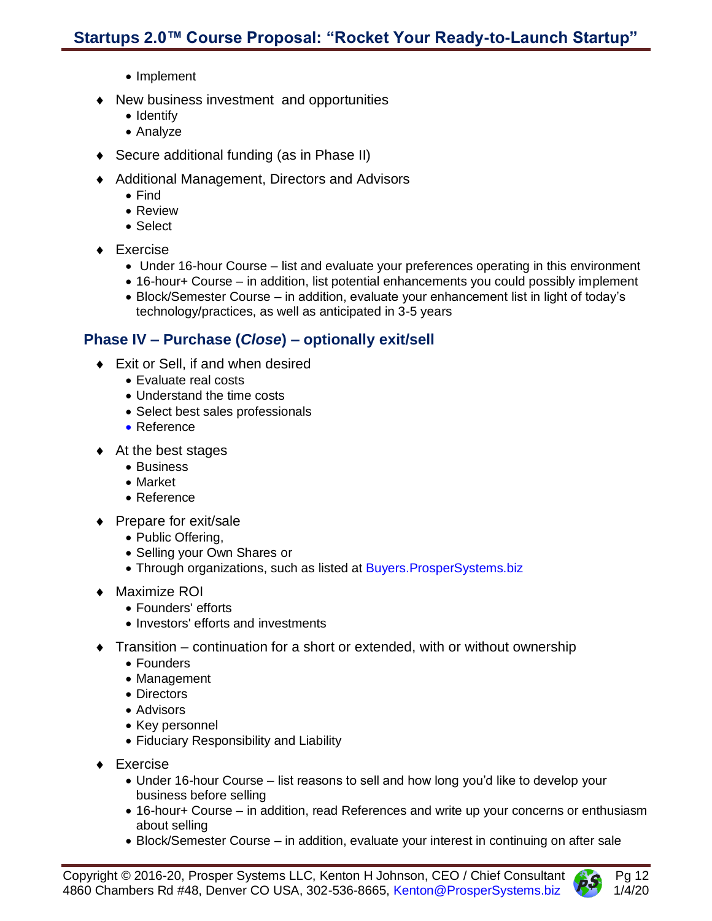- Implement
- New business investment and opportunities
	- Identify
	- Analyze
- ◆ Secure additional funding (as in Phase II)
- ◆ Additional Management, Directors and Advisors
	- Find
	- Review
	- Select
- ◆ Exercise
	- Under 16-hour Course list and evaluate your preferences operating in this environment
	- 16-hour+ Course in addition, list potential enhancements you could possibly implement
	- Block/Semester Course in addition, evaluate your enhancement list in light of today's technology/practices, as well as anticipated in 3-5 years

#### <span id="page-11-0"></span>**Phase IV – Purchase (***Close***) – optionally exit/sell**

- Exit or Sell, if and when desired
	- Evaluate real costs
	- Understand the time costs
	- Select best sales professionals
	- Reference
- $\triangleleft$  At the best stages
	- Business
	- Market
	- Reference
- ◆ Prepare for exit/sale
	- Public Offering,
	- Selling your Own Shares or
	- Through organizations, such as listed at Buyers. ProsperSystems.biz
- ◆ Maximize ROI
	- Founders' efforts
	- Investors' efforts and investments
- $\bullet$  Transition continuation for a short or extended, with or without ownership
	- Founders
	- Management
	- Directors
	- Advisors
	- Key personnel
	- Fiduciary Responsibility and Liability
- ◆ Exercise
	- Under 16-hour Course list reasons to sell and how long you'd like to develop your business before selling
	- 16-hour+ Course in addition, read References and write up your concerns or enthusiasm about selling
	- Block/Semester Course in addition, evaluate your interest in continuing on after sale

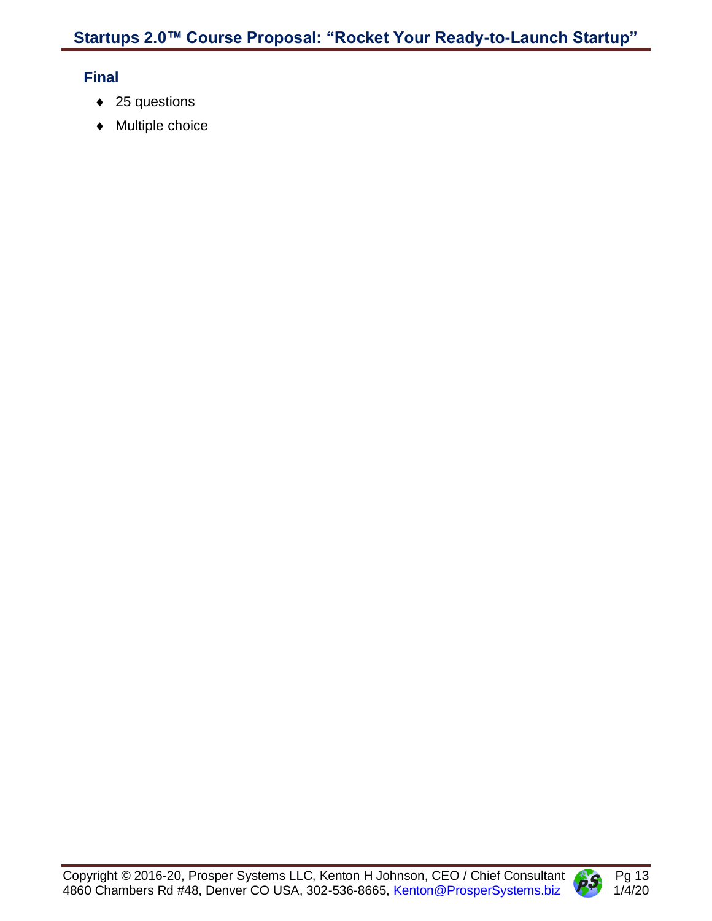## <span id="page-12-0"></span>**Final**

- ◆ 25 questions
- ◆ Multiple choice

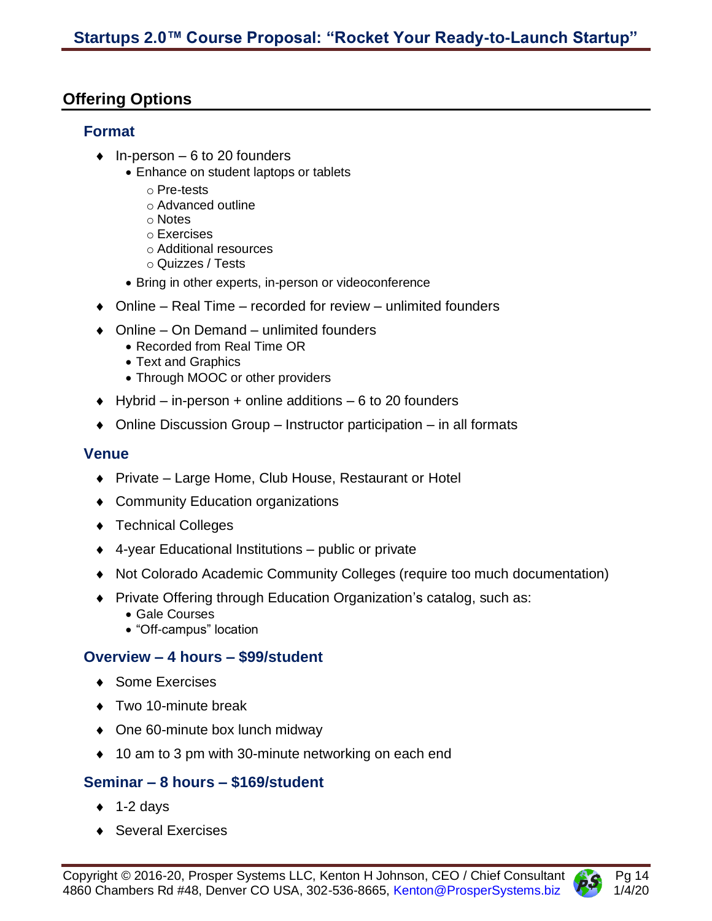## <span id="page-13-1"></span><span id="page-13-0"></span>**Offering Options**

#### **Format**

- $\bullet$  In-person 6 to 20 founders
	- Enhance on student laptops or tablets
		- o Pre-tests
		- o Advanced outline
		- o Notes
		- o Exercises
		- o Additional resources
		- o Quizzes / Tests
	- Bring in other experts, in-person or videoconference
- $\bullet$  Online Real Time recorded for review unlimited founders
- ◆ Online On Demand unlimited founders
	- Recorded from Real Time OR
	- Text and Graphics
	- Through MOOC or other providers
- $\blacklozenge$  Hybrid in-person + online additions 6 to 20 founders
- ◆ Online Discussion Group Instructor participation in all formats

## <span id="page-13-2"></span>**Venue**

- ◆ Private Large Home, Club House, Restaurant or Hotel
- ◆ Community Education organizations
- ◆ Technical Colleges
- 4-year Educational Institutions public or private
- Not Colorado Academic Community Colleges (require too much documentation)
- Private Offering through Education Organization's catalog, such as:
	- Gale Courses
	- "Off-campus" location

## <span id="page-13-3"></span>**Overview – 4 hours – \$99/student**

- ◆ Some Exercises
- ◆ Two 10-minute break
- ◆ One 60-minute box lunch midway
- ◆ 10 am to 3 pm with 30-minute networking on each end

## <span id="page-13-4"></span>**Seminar – 8 hours – \$169/student**

- $\triangleleft$  1-2 days
- ◆ Several Exercises

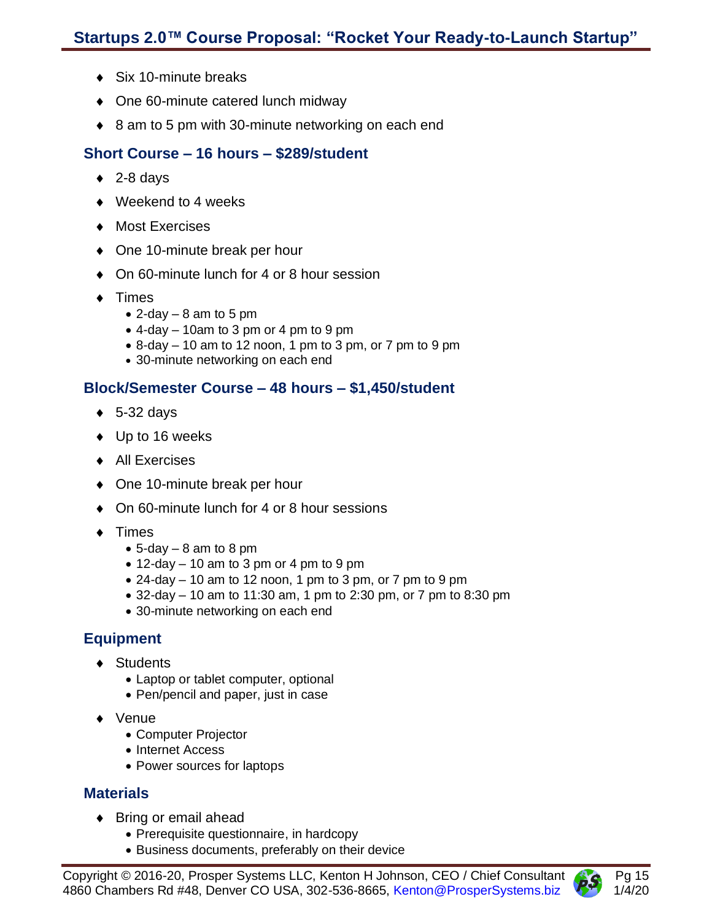- ◆ Six 10-minute breaks
- ◆ One 60-minute catered lunch midway
- ◆ 8 am to 5 pm with 30-minute networking on each end

### <span id="page-14-0"></span>**Short Course – 16 hours – \$289/student**

- $\triangleleft$  2-8 days
- ◆ Weekend to 4 weeks
- ◆ Most Exercises
- ◆ One 10-minute break per hour
- ◆ On 60-minute lunch for 4 or 8 hour session
- ◆ Times
	- $\bullet$  2-day  $-8$  am to 5 pm
	- 4-day 10am to 3 pm or 4 pm to 9 pm
	- 8-day 10 am to 12 noon, 1 pm to 3 pm, or 7 pm to 9 pm
	- 30-minute networking on each end

## <span id="page-14-1"></span>**Block/Semester Course – 48 hours – \$1,450/student**

- $\bullet$  5-32 days
- ◆ Up to 16 weeks
- ◆ All Exercises
- ◆ One 10-minute break per hour
- ◆ On 60-minute lunch for 4 or 8 hour sessions
- $\bullet$  Times
	- $\bullet$  5-day  $-8$  am to 8 pm
	- $\bullet$  12-day 10 am to 3 pm or 4 pm to 9 pm
	- $\bullet$  24-day 10 am to 12 noon, 1 pm to 3 pm, or 7 pm to 9 pm
	- 32-day 10 am to 11:30 am, 1 pm to 2:30 pm, or 7 pm to 8:30 pm
	- 30-minute networking on each end

## <span id="page-14-2"></span>**Equipment**

- ◆ Students
	- Laptop or tablet computer, optional
	- Pen/pencil and paper, just in case
- Venue
	- Computer Projector
	- Internet Access
	- Power sources for laptops

#### <span id="page-14-3"></span>**Materials**

- ◆ Bring or email ahead
	- Prerequisite questionnaire, in hardcopy
	- Business documents, preferably on their device

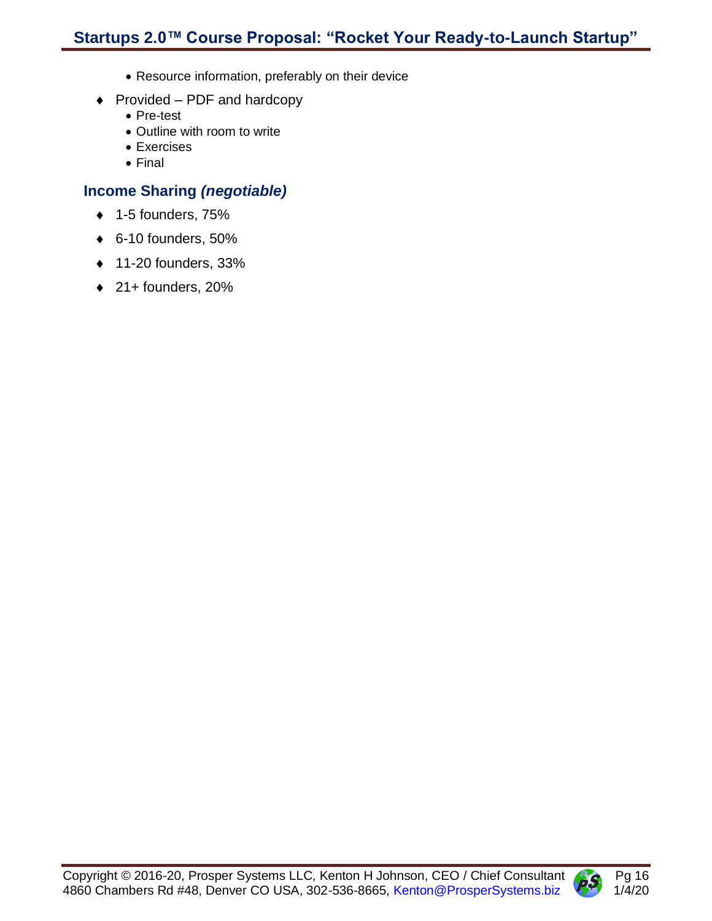- Resource information, preferably on their device
- $\bullet$  Provided PDF and hardcopy
	- Pre-test
	- Outline with room to write
	- Exercises
	- Final

## <span id="page-15-0"></span>**Income Sharing** *(negotiable)*

- $\bullet$  1-5 founders, 75%
- 6-10 founders, 50%
- $\triangleleft$  11-20 founders, 33%
- $\triangleleft$  21+ founders, 20%

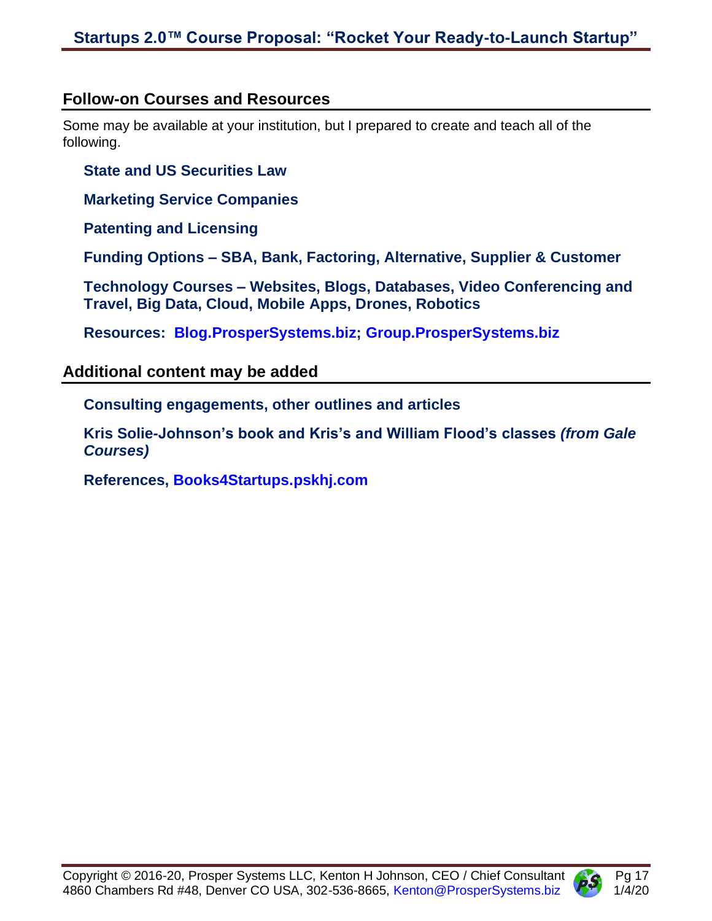## <span id="page-16-0"></span>**Follow-on Courses and Resources**

Some may be available at your institution, but I prepared to create and teach all of the following.

#### <span id="page-16-1"></span>**State and US Securities Law**

<span id="page-16-2"></span>**Marketing Service Companies**

<span id="page-16-3"></span>**Patenting and Licensing**

<span id="page-16-4"></span>**Funding Options – SBA, Bank, Factoring, Alternative, Supplier & Customer**

<span id="page-16-5"></span>**Technology Courses – Websites, Blogs, Databases, Video Conferencing and Travel, Big Data, Cloud, Mobile Apps, Drones, Robotics**

<span id="page-16-6"></span>**Resources: [Blog.ProsperSystems.biz;](http://blog.prospersystems.biz/) [Group.ProsperSystems.biz](http://group.prospersystems.biz/)**

## <span id="page-16-8"></span><span id="page-16-7"></span>**Additional content may be added**

**Consulting engagements, other outlines and articles**

<span id="page-16-9"></span>**Kris Solie-Johnson's book and Kris's and William Flood's classes** *(from Gale Courses)*

<span id="page-16-10"></span>**References, [Books4Startups.pskhj.com](http://books4startups.pskhj.com/)**